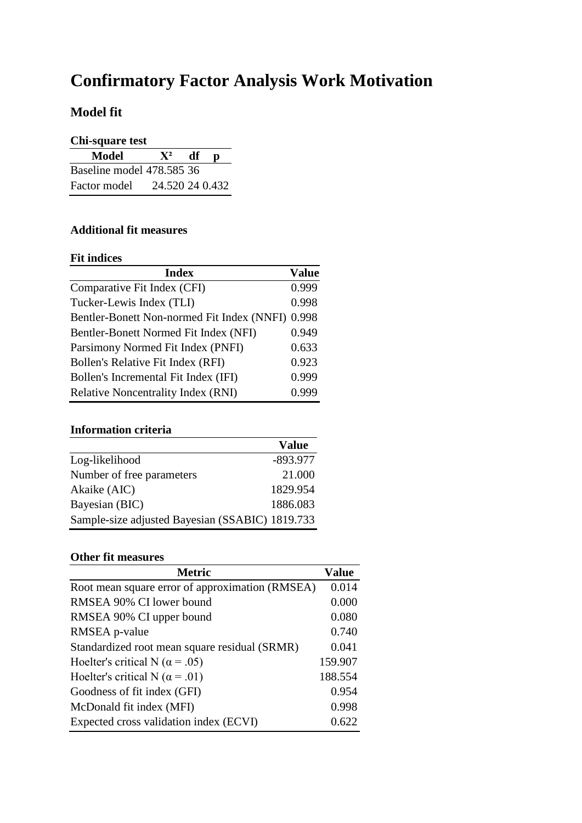# **Confirmatory Factor Analysis Work Motivation**

### **Model fit**

| Chi-square test |
|-----------------|
|-----------------|

| UM-syuare wst             |                 |    |  |
|---------------------------|-----------------|----|--|
| <b>Model</b>              | ${\bf X}^2$     | df |  |
| Baseline model 478.585 36 |                 |    |  |
| Factor model              | 24.520 24 0.432 |    |  |

#### **Additional fit measures**

#### **Fit indices**

| <b>Index</b>                               | <b>Value</b> |
|--------------------------------------------|--------------|
| Comparative Fit Index (CFI)                | 0.999        |
| Tucker-Lewis Index (TLI)                   | 0.998        |
| Bentler-Bonett Non-normed Fit Index (NNFI) | 0.998        |
| Bentler-Bonett Normed Fit Index (NFI)      | 0.949        |
| Parsimony Normed Fit Index (PNFI)          | 0.633        |
| Bollen's Relative Fit Index (RFI)          | 0.923        |
| Bollen's Incremental Fit Index (IFI)       | 0.999        |
| <b>Relative Noncentrality Index (RNI)</b>  | 0.999        |

## **Information criteria**

|                                                 | <b>Value</b> |
|-------------------------------------------------|--------------|
| Log-likelihood                                  | $-893.977$   |
| Number of free parameters                       | 21.000       |
| Akaike (AIC)                                    | 1829.954     |
| Bayesian (BIC)                                  | 1886.083     |
| Sample-size adjusted Bayesian (SSABIC) 1819.733 |              |

#### **Other fit measures**

| <b>Metric</b>                                   | Value   |
|-------------------------------------------------|---------|
| Root mean square error of approximation (RMSEA) | 0.014   |
| RMSEA 90% CI lower bound                        | 0.000   |
| RMSEA 90% CI upper bound                        | 0.080   |
| RMSEA p-value                                   | 0.740   |
| Standardized root mean square residual (SRMR)   | 0.041   |
| Hoelter's critical N ( $\alpha$ = .05)          | 159.907 |
| Hoelter's critical N ( $\alpha$ = .01)          | 188.554 |
| Goodness of fit index (GFI)                     | 0.954   |
| McDonald fit index (MFI)                        | 0.998   |
| Expected cross validation index (ECVI)          | 0.622   |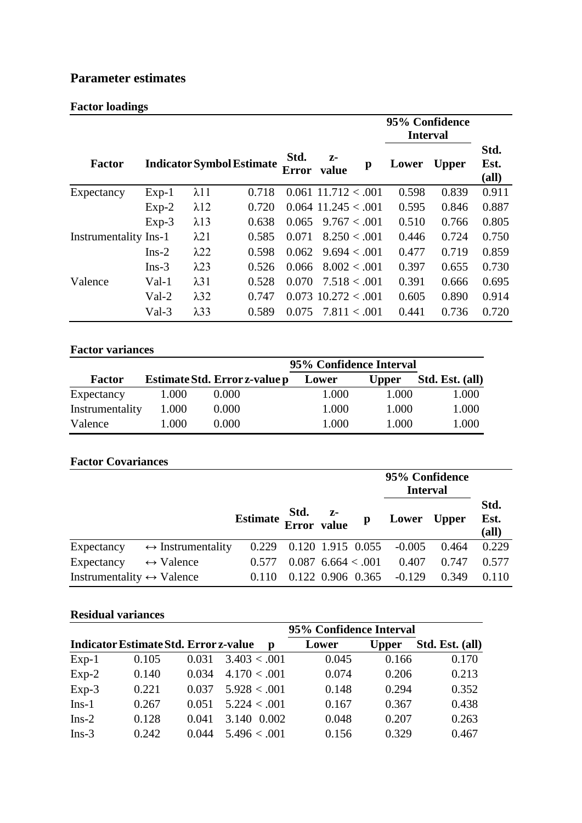### **Parameter estimates**

### **Factor loadings**

|                              |         |              |                                  |                      |                       |               | 95% Confidence<br><b>Interval</b> |              |                       |
|------------------------------|---------|--------------|----------------------------------|----------------------|-----------------------|---------------|-----------------------------------|--------------|-----------------------|
| <b>Factor</b>                |         |              | <b>Indicator Symbol Estimate</b> | Std.<br><b>Error</b> | $Z-$<br>value         | $\mathbf{p}$  | Lower                             | <b>Upper</b> | Std.<br>Est.<br>(all) |
| Expectancy                   | $Exp-1$ | $\lambda$ 11 | 0.718                            |                      | $0.061$ 11.712 < 0.01 |               | 0.598                             | 0.839        | 0.911                 |
|                              | $Exp-2$ | $\lambda$ 12 | 0.720                            |                      | $0.064$ 11.245 < 0.01 |               | 0.595                             | 0.846        | 0.887                 |
|                              | $Exp-3$ | $\lambda$ 13 | 0.638                            | 0.065                |                       | 9.767 < .001  | 0.510                             | 0.766        | 0.805                 |
| <b>Instrumentality Ins-1</b> |         | $\lambda$ 21 | 0.585                            | 0.071                |                       | 8.250 < .001  | 0.446                             | 0.724        | 0.750                 |
|                              | $Ins-2$ | $\lambda$ 22 | 0.598                            | 0.062                |                       | 9.694 < 0.001 | 0.477                             | 0.719        | 0.859                 |
|                              | $Ins-3$ | $\lambda$ 23 | 0.526                            | 0.066                |                       | 8.002 < .001  | 0.397                             | 0.655        | 0.730                 |
| Valence                      | $Val-1$ | $\lambda$ 31 | 0.528                            | 0.070                |                       | 7.518 < 0.001 | 0.391                             | 0.666        | 0.695                 |
|                              | $Val-2$ | $\lambda$ 32 | 0.747                            |                      | $0.073$ 10.272 < 0.01 |               | 0.605                             | 0.890        | 0.914                 |
|                              | Val-3   | $\lambda$ 33 | 0.589                            | 0.075                |                       | 7.811 < .001  | 0.441                             | 0.736        | 0.720                 |

#### **Factor variances**

|                 | 95% Confidence Interval |                               |       |              |                 |
|-----------------|-------------------------|-------------------------------|-------|--------------|-----------------|
| <b>Factor</b>   |                         | Estimate Std. Error z-value p | Lower | <b>Upper</b> | Std. Est. (all) |
| Expectancy      | 1.000                   | 0.000                         | 1.000 | 1.000        | 1.000           |
| Instrumentality | 1.000                   | 0.000                         | 1.000 | 1.000        | 1.000           |
| Valence         | 1.000                   | 0.000                         | 1.000 | 1.000        | 1.000           |

#### **Factor Covariances**

|                                           |                                   |                  |                   |                      | 95% Confidence<br><b>Interval</b> |          |              |                       |
|-------------------------------------------|-----------------------------------|------------------|-------------------|----------------------|-----------------------------------|----------|--------------|-----------------------|
|                                           |                                   | Estimate Std. z- |                   |                      | p                                 | Lower    | <b>Upper</b> | Std.<br>Est.<br>(all) |
| Expectancy                                | $\leftrightarrow$ Instrumentality | 0.229            | 0.120 1.915 0.055 |                      |                                   | $-0.005$ | 0.464        | 0.229                 |
| Expectancy                                | $\leftrightarrow$ Valence         | 0.577            |                   | $0.087$ 6.664 < 0.01 |                                   | 0.407    | 0.747        | 0.577                 |
| Instrumentality $\leftrightarrow$ Valence |                                   | 0.110            |                   |                      | 0.122 0.906 0.365                 | $-0.129$ | 0.349        | 0.110                 |

#### **Residual variances**

|         |                                              |       |               | 95% Confidence Interval |              |                 |
|---------|----------------------------------------------|-------|---------------|-------------------------|--------------|-----------------|
|         | <b>Indicator Estimate Std. Error z-value</b> |       | $\mathbf{p}$  | Lower                   | <b>Upper</b> | Std. Est. (all) |
| $Exp-1$ | 0.105                                        | 0.031 | 3.403 < .001  | 0.045                   | 0.166        | 0.170           |
| $Exp-2$ | 0.140                                        | 0.034 | 4.170 < .001  | 0.074                   | 0.206        | 0.213           |
| $Exp-3$ | 0.221                                        | 0.037 | 5.928 < 0.001 | 0.148                   | 0.294        | 0.352           |
| $Ins-1$ | 0.267                                        | 0.051 | 5.224 < 0.001 | 0.167                   | 0.367        | 0.438           |
| $Ins-2$ | 0.128                                        | 0.041 | 3.140 0.002   | 0.048                   | 0.207        | 0.263           |
| $Ins-3$ | 0.242                                        | 0.044 | 5.496 < .001  | 0.156                   | 0.329        | 0.467           |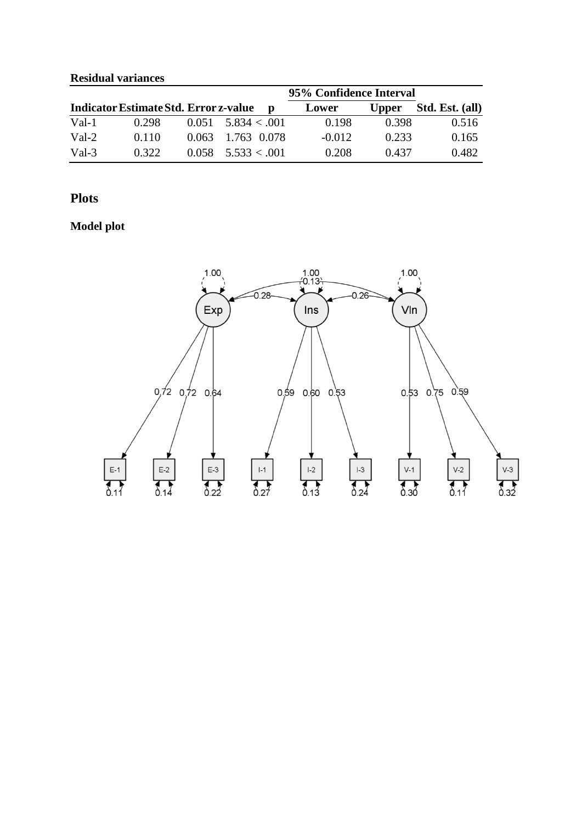#### **Residual variances**

|         |                                              |                        | 95% Confidence Interval |              |                 |
|---------|----------------------------------------------|------------------------|-------------------------|--------------|-----------------|
|         | <b>Indicator Estimate Std. Error z-value</b> | D                      | Lower                   | <b>Upper</b> | Std. Est. (all) |
| Val-1   | 0.298                                        | $0.051 - 5.834 < 0.01$ | 0.198                   | 0.398        | 0.516           |
| $Val-2$ | 0.110                                        | 0.063 1.763 0.078      | $-0.012$                | 0.233        | 0.165           |
| Val-3   | 0.322                                        | $0.058$ 5.533 < 001    | 0.208                   | 0.437        | 0.482           |

### **Plots**

## **Model plot**